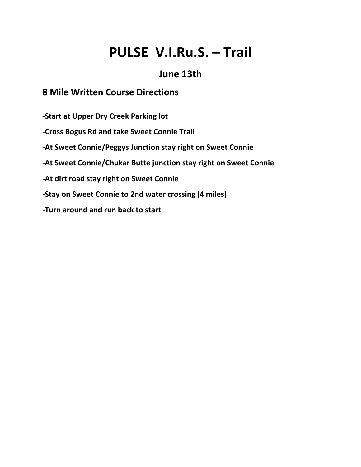# **PULSE V.I.Ru.S. – Trail**

### **June 13th**

#### **8 Mile Written Course Directions**

**-Start at Upper Dry Creek Parking lot**

**-Cross Bogus Rd and take Sweet Connie Trail**

**-At Sweet Connie/Peggys Junction stay right on Sweet Connie**

**-At Sweet Connie/Chukar Butte junction stay right on Sweet Connie**

**-At dirt road stay right on Sweet Connie**

**-Stay on Sweet Connie to 2nd water crossing (4 miles)**

**-Turn around and run back to start**